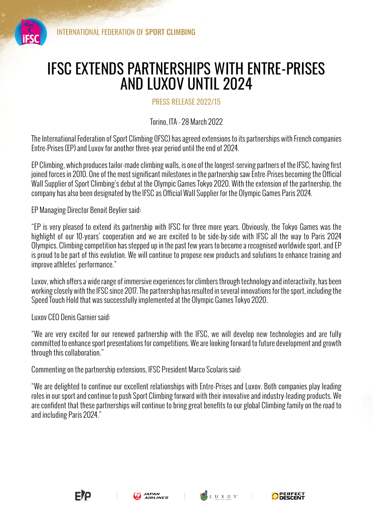

## IFSC EXTENDS PARTNERSHIPS WITH ENTRE-PRISES AND LUXOV UNTIL 2024

PRESS RELEASE 2022/15

Torino, ITA - 28 March 2022

The International Federation of Sport Climbing (IFSC) has agreed extensions to its partnerships with French companies Entre-Prises (EP) and Luxov for another three-year period until the end of 2024.

EP Climbing, which produces tailor-made climbing walls, is one of the longest-serving partners of the IFSC, having first joined forces in 2010. One of the most significant milestones in the partnership saw Entre-Prises becoming the Official Wall Supplier of Sport Climbing's debut at the Olympic Games Tokyo 2020. With the extension of the partnership, the company has also been designated by the IFSC as Official Wall Supplier for the Olympic Games Paris 2024.

EP Managing Director Benoit Beylier said:

"EP is very pleased to extend its partnership with IFSC for three more years. Obviously, the Tokyo Games was the highlight of our 10-years' cooperation and we are excited to be side-by-side with IFSC all the way to Paris 2024 Olympics. Climbing competition has stepped up in the past few years to become a recognised worldwide sport, and EP is proud to be part of this evolution. We will continue to propose new products and solutions to enhance training and improve athletes' performance."

Luxov, which offers a wide range of immersive experiences for climbers through technology and interactivity, has been working closely with the IFSC since 2017. The partnership has resulted in several innovations for the sport, including the Speed Touch Hold that was successfully implemented at the Olympic Games Tokyo 2020.

Luxov CEO Denis Garnier said:

"We are very excited for our renewed partnership with the IFSC, we will develop new technologies and are fully committed to enhance sport presentations for competitions. We are looking forward to future development and growth through this collaboration."

Commenting on the partnership extensions, IFSC President Marco Scolaris said:

"We are delighted to continue our excellent relationships with Entre-Prises and Luxov. Both companies play leading roles in our sport and continue to push Sport Climbing forward with their innovative and industry-leading products. We are confident that these partnerships will continue to bring great benefits to our global Climbing family on the road to and including Paris 2024."